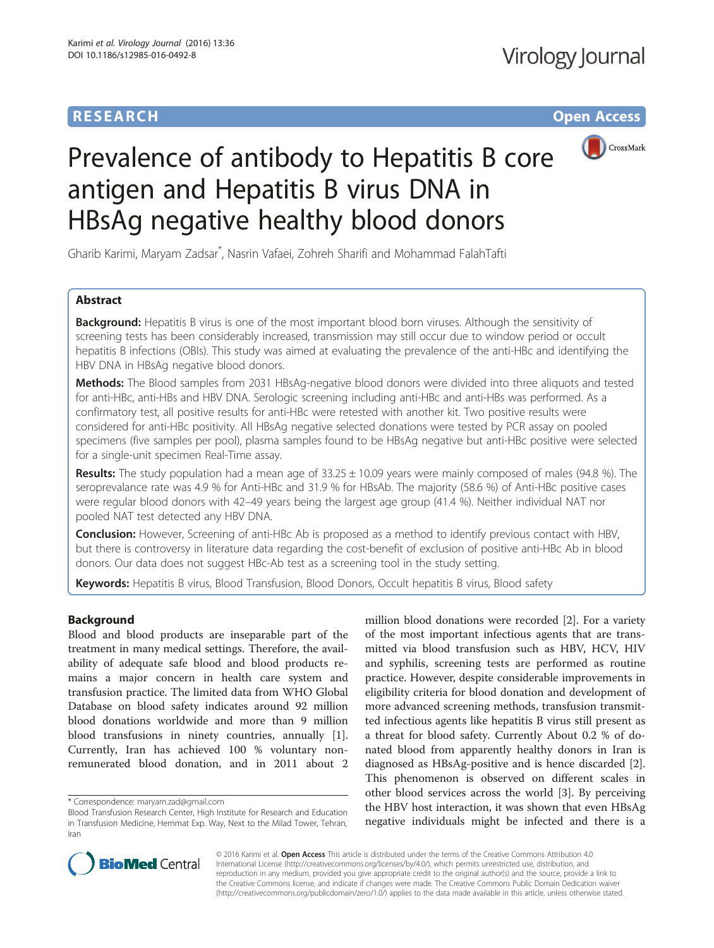# **RESEARCH CHE Open Access**



# Prevalence of antibody to Hepatitis B core antigen and Hepatitis B virus DNA in HBsAg negative healthy blood donors

Gharib Karimi, Maryam Zadsar\* , Nasrin Vafaei, Zohreh Sharifi and Mohammad FalahTafti

# Abstract

Background: Hepatitis B virus is one of the most important blood born viruses. Although the sensitivity of screening tests has been considerably increased, transmission may still occur due to window period or occult hepatitis B infections (OBIs). This study was aimed at evaluating the prevalence of the anti-HBc and identifying the HBV DNA in HBsAg negative blood donors.

Methods: The Blood samples from 2031 HBsAg-negative blood donors were divided into three aliquots and tested for anti-HBc, anti-HBs and HBV DNA. Serologic screening including anti-HBc and anti-HBs was performed. As a confirmatory test, all positive results for anti-HBc were retested with another kit. Two positive results were considered for anti-HBc positivity. All HBsAg negative selected donations were tested by PCR assay on pooled specimens (five samples per pool), plasma samples found to be HBsAg negative but anti-HBc positive were selected for a single-unit specimen Real-Time assay.

Results: The study population had a mean age of 33.25 ± 10.09 years were mainly composed of males (94.8 %). The seroprevalance rate was 4.9 % for Anti-HBc and 31.9 % for HBsAb. The majority (58.6 %) of Anti-HBc positive cases were regular blood donors with 42–49 years being the largest age group (41.4 %). Neither individual NAT nor pooled NAT test detected any HBV DNA.

**Conclusion:** However, Screening of anti-HBc Ab is proposed as a method to identify previous contact with HBV, but there is controversy in literature data regarding the cost-benefit of exclusion of positive anti-HBc Ab in blood donors. Our data does not suggest HBc-Ab test as a screening tool in the study setting.

Keywords: Hepatitis B virus, Blood Transfusion, Blood Donors, Occult hepatitis B virus, Blood safety

# Background

Blood and blood products are inseparable part of the treatment in many medical settings. Therefore, the availability of adequate safe blood and blood products remains a major concern in health care system and transfusion practice. The limited data from WHO Global Database on blood safety indicates around 92 million blood donations worldwide and more than 9 million blood transfusions in ninety countries, annually [\[1](#page-4-0)]. Currently, Iran has achieved 100 % voluntary nonremunerated blood donation, and in 2011 about 2

million blood donations were recorded [[2\]](#page-4-0). For a variety of the most important infectious agents that are transmitted via blood transfusion such as HBV, HCV, HIV and syphilis, screening tests are performed as routine practice. However, despite considerable improvements in eligibility criteria for blood donation and development of more advanced screening methods, transfusion transmitted infectious agents like hepatitis B virus still present as a threat for blood safety. Currently About 0.2 % of donated blood from apparently healthy donors in Iran is diagnosed as HBsAg-positive and is hence discarded [\[2](#page-4-0)]. This phenomenon is observed on different scales in other blood services across the world [[3\]](#page-4-0). By perceiving the HBV host interaction, it was shown that even HBsAg negative individuals might be infected and there is a



© 2016 Karimi et al. Open Access This article is distributed under the terms of the Creative Commons Attribution 4.0 International License [\(http://creativecommons.org/licenses/by/4.0/](http://creativecommons.org/licenses/by/4.0/)), which permits unrestricted use, distribution, and reproduction in any medium, provided you give appropriate credit to the original author(s) and the source, provide a link to the Creative Commons license, and indicate if changes were made. The Creative Commons Public Domain Dedication waiver [\(http://creativecommons.org/publicdomain/zero/1.0/](http://creativecommons.org/publicdomain/zero/1.0/)) applies to the data made available in this article, unless otherwise stated.

<sup>\*</sup> Correspondence: [maryam.zad@gmail.com](mailto:maryam.zad@gmail.com)

Blood Transfusion Research Center, High Institute for Research and Education in Transfusion Medicine, Hemmat Exp. Way, Next to the Milad Tower, Tehran, Iran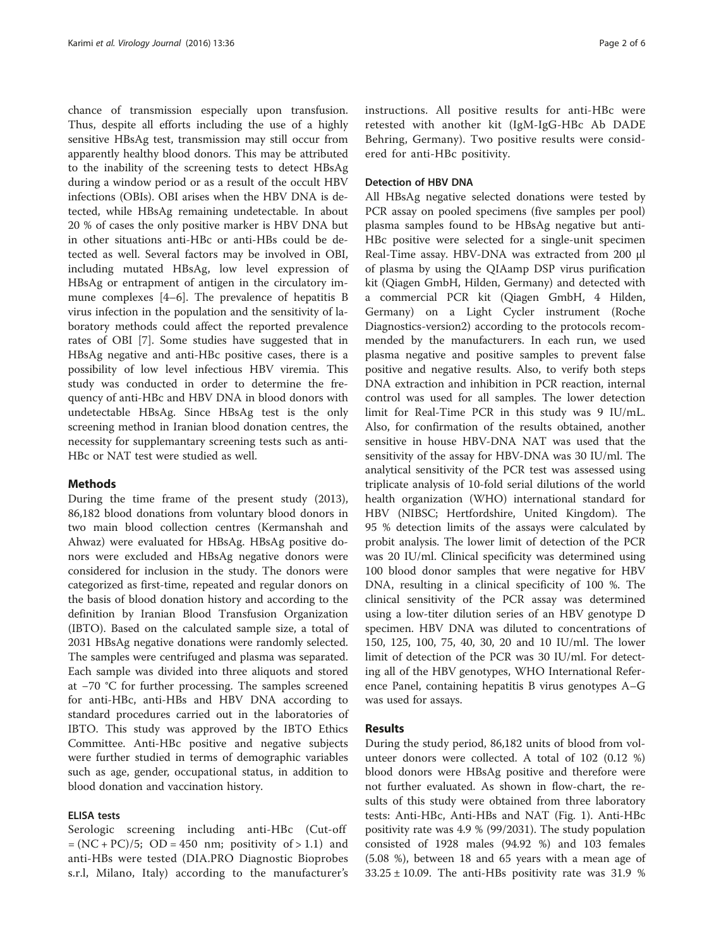chance of transmission especially upon transfusion. Thus, despite all efforts including the use of a highly sensitive HBsAg test, transmission may still occur from apparently healthy blood donors. This may be attributed to the inability of the screening tests to detect HBsAg during a window period or as a result of the occult HBV infections (OBIs). OBI arises when the HBV DNA is detected, while HBsAg remaining undetectable. In about 20 % of cases the only positive marker is HBV DNA but in other situations anti-HBc or anti-HBs could be detected as well. Several factors may be involved in OBI, including mutated HBsAg, low level expression of HBsAg or entrapment of antigen in the circulatory immune complexes [\[4](#page-4-0)–[6\]](#page-4-0). The prevalence of hepatitis B virus infection in the population and the sensitivity of laboratory methods could affect the reported prevalence rates of OBI [\[7](#page-4-0)]. Some studies have suggested that in HBsAg negative and anti-HBc positive cases, there is a possibility of low level infectious HBV viremia. This study was conducted in order to determine the frequency of anti-HBc and HBV DNA in blood donors with undetectable HBsAg. Since HBsAg test is the only screening method in Iranian blood donation centres, the necessity for supplemantary screening tests such as anti-HBc or NAT test were studied as well.

### Methods

During the time frame of the present study (2013), 86,182 blood donations from voluntary blood donors in two main blood collection centres (Kermanshah and Ahwaz) were evaluated for HBsAg. HBsAg positive donors were excluded and HBsAg negative donors were considered for inclusion in the study. The donors were categorized as first-time, repeated and regular donors on the basis of blood donation history and according to the definition by Iranian Blood Transfusion Organization (IBTO). Based on the calculated sample size, a total of 2031 HBsAg negative donations were randomly selected. The samples were centrifuged and plasma was separated. Each sample was divided into three aliquots and stored at −70 °C for further processing. The samples screened for anti-HBc, anti-HBs and HBV DNA according to standard procedures carried out in the laboratories of IBTO. This study was approved by the IBTO Ethics Committee. Anti-HBc positive and negative subjects were further studied in terms of demographic variables such as age, gender, occupational status, in addition to blood donation and vaccination history.

# ELISA tests

Serologic screening including anti-HBc (Cut-off  $= (NC + PC)/5$ ; OD = 450 nm; positivity of > 1.1) and anti-HBs were tested (DIA.PRO Diagnostic Bioprobes s.r.l, Milano, Italy) according to the manufacturer's instructions. All positive results for anti-HBc were retested with another kit (IgM-IgG-HBc Ab DADE Behring, Germany). Two positive results were considered for anti-HBc positivity.

#### Detection of HBV DNA

All HBsAg negative selected donations were tested by PCR assay on pooled specimens (five samples per pool) plasma samples found to be HBsAg negative but anti-HBc positive were selected for a single-unit specimen Real-Time assay. HBV-DNA was extracted from 200 μl of plasma by using the QIAamp DSP virus purification kit (Qiagen GmbH, Hilden, Germany) and detected with a commercial PCR kit (Qiagen GmbH, 4 Hilden, Germany) on a Light Cycler instrument (Roche Diagnostics-version2) according to the protocols recommended by the manufacturers. In each run, we used plasma negative and positive samples to prevent false positive and negative results. Also, to verify both steps DNA extraction and inhibition in PCR reaction, internal control was used for all samples. The lower detection limit for Real-Time PCR in this study was 9 IU/mL. Also, for confirmation of the results obtained, another sensitive in house HBV-DNA NAT was used that the sensitivity of the assay for HBV-DNA was 30 IU/ml. The analytical sensitivity of the PCR test was assessed using triplicate analysis of 10-fold serial dilutions of the world health organization (WHO) international standard for HBV (NIBSC; Hertfordshire, United Kingdom). The 95 % detection limits of the assays were calculated by probit analysis. The lower limit of detection of the PCR was 20 IU/ml. Clinical specificity was determined using 100 blood donor samples that were negative for HBV DNA, resulting in a clinical specificity of 100 %. The clinical sensitivity of the PCR assay was determined using a low-titer dilution series of an HBV genotype D specimen. HBV DNA was diluted to concentrations of 150, 125, 100, 75, 40, 30, 20 and 10 IU/ml. The lower limit of detection of the PCR was 30 IU/ml. For detecting all of the HBV genotypes, WHO International Reference Panel, containing hepatitis B virus genotypes A–G was used for assays.

#### Results

During the study period, 86,182 units of blood from volunteer donors were collected. A total of 102 (0.12 %) blood donors were HBsAg positive and therefore were not further evaluated. As shown in flow-chart, the results of this study were obtained from three laboratory tests: Anti-HBc, Anti-HBs and NAT (Fig. [1](#page-2-0)). Anti-HBc positivity rate was 4.9 % (99/2031). The study population consisted of 1928 males (94.92 %) and 103 females (5.08 %), between 18 and 65 years with a mean age of  $33.25 \pm 10.09$ . The anti-HBs positivity rate was 31.9 %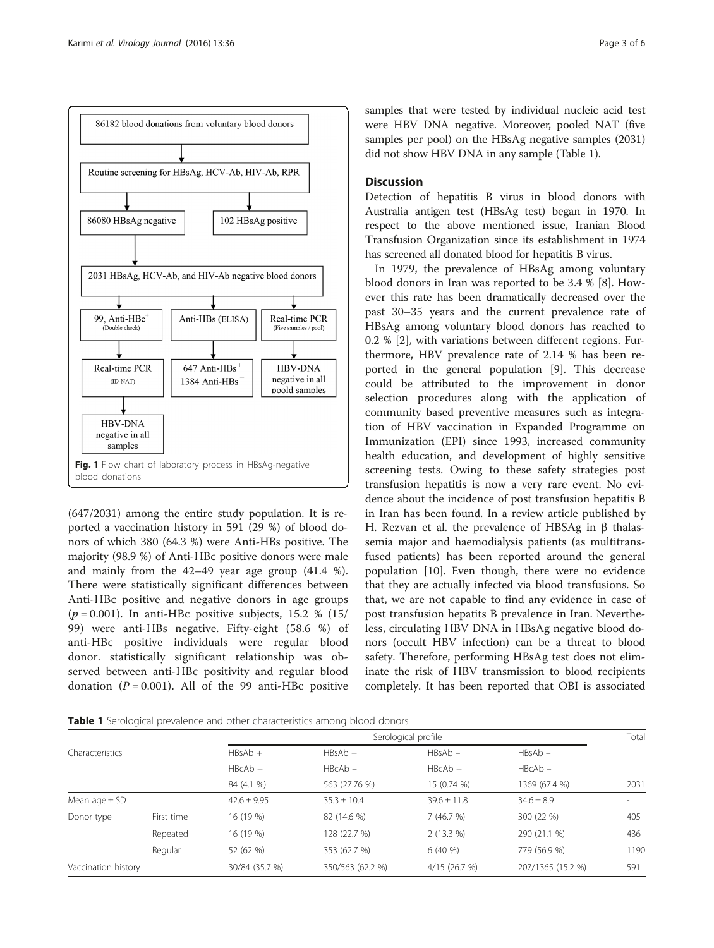<span id="page-2-0"></span>

(647/2031) among the entire study population. It is reported a vaccination history in 591 (29 %) of blood donors of which 380 (64.3 %) were Anti-HBs positive. The majority (98.9 %) of Anti-HBc positive donors were male and mainly from the 42–49 year age group (41.4 %). There were statistically significant differences between Anti-HBc positive and negative donors in age groups  $(p = 0.001)$ . In anti-HBc positive subjects, 15.2 % (15/ 99) were anti-HBs negative. Fifty-eight (58.6 %) of anti-HBc positive individuals were regular blood donor. statistically significant relationship was observed between anti-HBc positivity and regular blood donation ( $P = 0.001$ ). All of the 99 anti-HBc positive samples that were tested by individual nucleic acid test were HBV DNA negative. Moreover, pooled NAT (five samples per pool) on the HBsAg negative samples (2031) did not show HBV DNA in any sample (Table 1).

# **Discussion**

Detection of hepatitis B virus in blood donors with Australia antigen test (HBsAg test) began in 1970. In respect to the above mentioned issue, Iranian Blood Transfusion Organization since its establishment in 1974 has screened all donated blood for hepatitis B virus.

In 1979, the prevalence of HBsAg among voluntary blood donors in Iran was reported to be 3.4 % [\[8\]](#page-4-0). However this rate has been dramatically decreased over the past 30–35 years and the current prevalence rate of HBsAg among voluntary blood donors has reached to 0.2 % [\[2](#page-4-0)], with variations between different regions. Furthermore, HBV prevalence rate of 2.14 % has been reported in the general population [\[9](#page-4-0)]. This decrease could be attributed to the improvement in donor selection procedures along with the application of community based preventive measures such as integration of HBV vaccination in Expanded Programme on Immunization (EPI) since 1993, increased community health education, and development of highly sensitive screening tests. Owing to these safety strategies post transfusion hepatitis is now a very rare event. No evidence about the incidence of post transfusion hepatitis B in Iran has been found. In a review article published by H. Rezvan et al. the prevalence of HBSAg in β thalassemia major and haemodialysis patients (as multitransfused patients) has been reported around the general population [[10\]](#page-4-0). Even though, there were no evidence that they are actually infected via blood transfusions. So that, we are not capable to find any evidence in case of post transfusion hepatits B prevalence in Iran. Nevertheless, circulating HBV DNA in HBsAg negative blood donors (occult HBV infection) can be a threat to blood safety. Therefore, performing HBsAg test does not eliminate the risk of HBV transmission to blood recipients completely. It has been reported that OBI is associated

Table 1 Serological prevalence and other characteristics among blood donors

|                     |            | Serological profile |                  |                 |                   |        |  |
|---------------------|------------|---------------------|------------------|-----------------|-------------------|--------|--|
| Characteristics     |            | $HBSAb +$           | $HBSAb +$        | $HBsAb -$       | $HBsAb -$         |        |  |
|                     |            | $HBCAb +$           | $H B C A b -$    | $HBCAb +$       | $HBCAb -$         |        |  |
|                     |            | 84 (4.1 %)          | 563 (27.76 %)    | 15 (0.74 %)     | 1369 (67.4 %)     | 2031   |  |
| Mean age $\pm$ SD   |            | $42.6 + 9.95$       | $35.3 \pm 10.4$  | $39.6 \pm 11.8$ | $34.6 \pm 8.9$    | $\sim$ |  |
| Donor type          | First time | 16 (19 %)           | 82 (14.6 %)      | 7(46.7%)        | 300 (22 %)        | 405    |  |
|                     | Repeated   | 16 (19 %)           | 128 (22.7 %)     | $2(13.3\%)$     | 290 (21.1 %)      | 436    |  |
|                     | Regular    | 52 (62 %)           | 353 (62.7 %)     | 6(40%           | 779 (56.9 %)      | 1190   |  |
| Vaccination history |            | 30/84 (35.7 %)      | 350/563 (62.2 %) | 4/15(26.7%)     | 207/1365 (15.2 %) | 591    |  |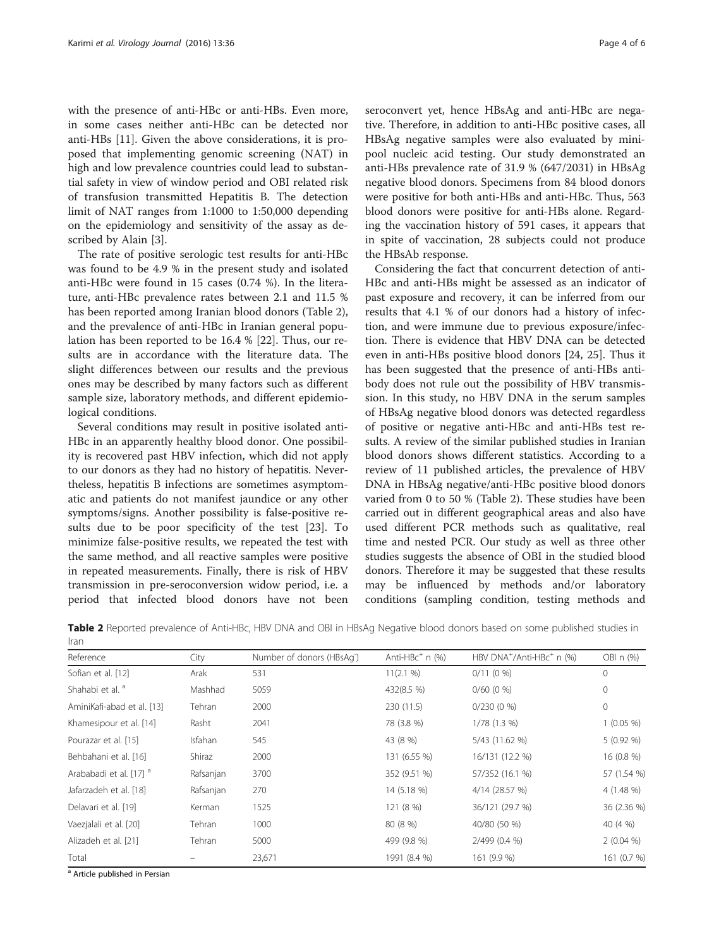with the presence of anti-HBc or anti-HBs. Even more, in some cases neither anti-HBc can be detected nor anti-HBs [[11](#page-4-0)]. Given the above considerations, it is proposed that implementing genomic screening (NAT) in high and low prevalence countries could lead to substantial safety in view of window period and OBI related risk of transfusion transmitted Hepatitis B. The detection limit of NAT ranges from 1:1000 to 1:50,000 depending on the epidemiology and sensitivity of the assay as described by Alain [\[3](#page-4-0)].

The rate of positive serologic test results for anti-HBc was found to be 4.9 % in the present study and isolated anti-HBc were found in 15 cases (0.74 %). In the literature, anti-HBc prevalence rates between 2.1 and 11.5 % has been reported among Iranian blood donors (Table 2), and the prevalence of anti-HBc in Iranian general population has been reported to be 16.4 % [\[22\]](#page--1-0). Thus, our results are in accordance with the literature data. The slight differences between our results and the previous ones may be described by many factors such as different sample size, laboratory methods, and different epidemiological conditions.

Several conditions may result in positive isolated anti-HBc in an apparently healthy blood donor. One possibility is recovered past HBV infection, which did not apply to our donors as they had no history of hepatitis. Nevertheless, hepatitis B infections are sometimes asymptomatic and patients do not manifest jaundice or any other symptoms/signs. Another possibility is false-positive results due to be poor specificity of the test [[23\]](#page--1-0). To minimize false-positive results, we repeated the test with the same method, and all reactive samples were positive in repeated measurements. Finally, there is risk of HBV transmission in pre-seroconversion widow period, i.e. a period that infected blood donors have not been seroconvert yet, hence HBsAg and anti-HBc are negative. Therefore, in addition to anti-HBc positive cases, all HBsAg negative samples were also evaluated by minipool nucleic acid testing. Our study demonstrated an anti-HBs prevalence rate of 31.9 % (647/2031) in HBsAg negative blood donors. Specimens from 84 blood donors were positive for both anti-HBs and anti-HBc. Thus, 563 blood donors were positive for anti-HBs alone. Regarding the vaccination history of 591 cases, it appears that in spite of vaccination, 28 subjects could not produce the HBsAb response.

Considering the fact that concurrent detection of anti-HBc and anti-HBs might be assessed as an indicator of past exposure and recovery, it can be inferred from our results that 4.1 % of our donors had a history of infection, and were immune due to previous exposure/infection. There is evidence that HBV DNA can be detected even in anti-HBs positive blood donors [[24](#page--1-0), [25\]](#page--1-0). Thus it has been suggested that the presence of anti-HBs antibody does not rule out the possibility of HBV transmission. In this study, no HBV DNA in the serum samples of HBsAg negative blood donors was detected regardless of positive or negative anti-HBc and anti-HBs test results. A review of the similar published studies in Iranian blood donors shows different statistics. According to a review of 11 published articles, the prevalence of HBV DNA in HBsAg negative/anti-HBc positive blood donors varied from 0 to 50 % (Table 2). These studies have been carried out in different geographical areas and also have used different PCR methods such as qualitative, real time and nested PCR. Our study as well as three other studies suggests the absence of OBI in the studied blood donors. Therefore it may be suggested that these results may be influenced by methods and/or laboratory conditions (sampling condition, testing methods and

Table 2 Reported prevalence of Anti-HBc, HBV DNA and OBI in HBsAg Negative blood donors based on some published studies in Iran

| Reference                          | City      | Number of donors (HBsAg <sup>-</sup> ) | Anti-H $Bc^+$ n $(\%)$ | HBV DNA <sup>+</sup> /Anti-HBc <sup>+</sup> n (%) | OBI n (%)    |
|------------------------------------|-----------|----------------------------------------|------------------------|---------------------------------------------------|--------------|
| Sofian et al. [12]                 | Arak      | 531                                    | 11(2.1 %)              | $0/11(0\%)$                                       | 0            |
| Shahabi et al. <sup>a</sup>        | Mashhad   | 5059                                   | 432(8.5 %)             | $0/60(0\%)$                                       | $\mathbf{0}$ |
| AminiKafi-abad et al. [13]         | Tehran    | 2000                                   | 230(11.5)              | $0/230(0\%)$                                      | 0            |
| Khamesipour et al. [14]            | Rasht     | 2041                                   | 78 (3.8 %)             | $1/78(1.3\%)$                                     | $1(0.05\%)$  |
| Pourazar et al. [15]               | Isfahan   | 545                                    | 43 (8 %)               | 5/43 (11.62 %)                                    | 5 (0.92 %)   |
| Behbahani et al. [16]              | Shiraz    | 2000                                   | 131 (6.55 %)           | 16/131 (12.2 %)                                   | $16(0.8\%)$  |
| Arababadi et al. [17] <sup>a</sup> | Rafsanjan | 3700                                   | 352 (9.51 %)           | 57/352 (16.1 %)                                   | 57 (1.54 %)  |
| Jafarzadeh et al. [18]             | Rafsanjan | 270                                    | 14 (5.18 %)            | 4/14 (28.57 %)                                    | 4 (1.48 %)   |
| Delavari et al. [19]               | Kerman    | 1525                                   | 121 (8 %)              | 36/121 (29.7 %)                                   | 36 (2.36 %)  |
| Vaezjalali et al. [20]             | Tehran    | 1000                                   | 80 (8 %)               | 40/80 (50 %)                                      | 40 (4 %)     |
| Alizadeh et al. [21]               | Tehran    | 5000                                   | 499 (9.8 %)            | 2/499 (0.4 %)                                     | $2(0.04\%)$  |
| Total                              |           | 23,671                                 | 1991 (8.4 %)           | 161 (9.9 %)                                       | 161 (0.7 %)  |

<sup>a</sup> Article published in Persian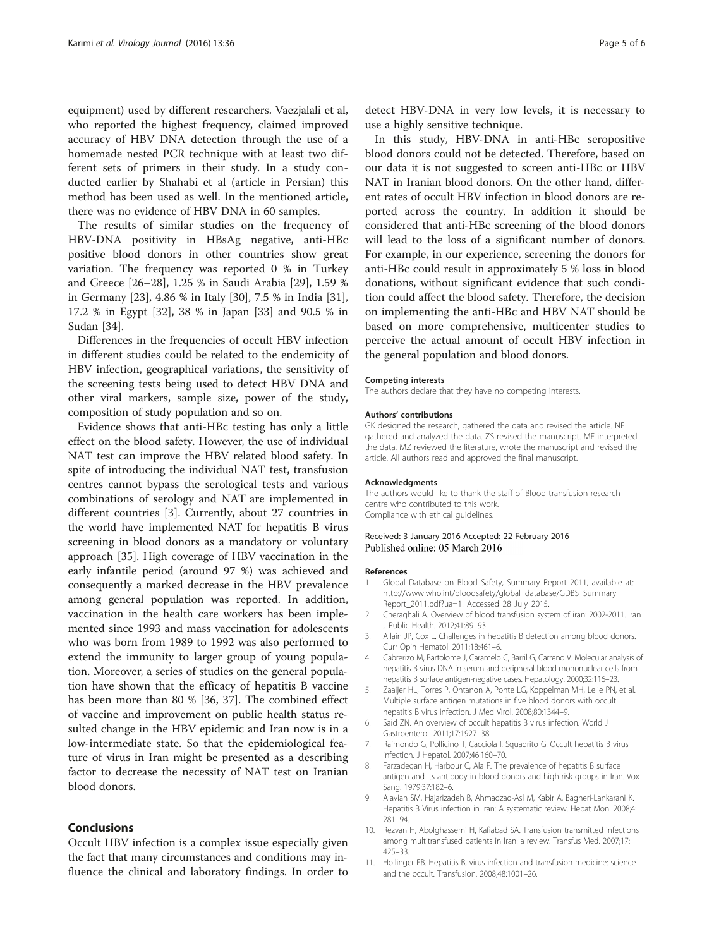<span id="page-4-0"></span>equipment) used by different researchers. Vaezjalali et al, who reported the highest frequency, claimed improved accuracy of HBV DNA detection through the use of a homemade nested PCR technique with at least two different sets of primers in their study. In a study conducted earlier by Shahabi et al (article in Persian) this method has been used as well. In the mentioned article, there was no evidence of HBV DNA in 60 samples.

The results of similar studies on the frequency of HBV-DNA positivity in HBsAg negative, anti-HBc positive blood donors in other countries show great variation. The frequency was reported 0 % in Turkey and Greece [\[26](#page--1-0)–[28\]](#page--1-0), 1.25 % in Saudi Arabia [\[29\]](#page--1-0), 1.59 % in Germany [[23](#page--1-0)], 4.86 % in Italy [\[30](#page--1-0)], 7.5 % in India [\[31](#page--1-0)], 17.2 % in Egypt [\[32](#page--1-0)], 38 % in Japan [\[33\]](#page--1-0) and 90.5 % in Sudan [\[34\]](#page--1-0).

Differences in the frequencies of occult HBV infection in different studies could be related to the endemicity of HBV infection, geographical variations, the sensitivity of the screening tests being used to detect HBV DNA and other viral markers, sample size, power of the study, composition of study population and so on.

Evidence shows that anti-HBc testing has only a little effect on the blood safety. However, the use of individual NAT test can improve the HBV related blood safety. In spite of introducing the individual NAT test, transfusion centres cannot bypass the serological tests and various combinations of serology and NAT are implemented in different countries [3]. Currently, about 27 countries in the world have implemented NAT for hepatitis B virus screening in blood donors as a mandatory or voluntary approach [[35\]](#page--1-0). High coverage of HBV vaccination in the early infantile period (around 97 %) was achieved and consequently a marked decrease in the HBV prevalence among general population was reported. In addition, vaccination in the health care workers has been implemented since 1993 and mass vaccination for adolescents who was born from 1989 to 1992 was also performed to extend the immunity to larger group of young population. Moreover, a series of studies on the general population have shown that the efficacy of hepatitis B vaccine has been more than 80 % [\[36](#page--1-0), [37\]](#page--1-0). The combined effect of vaccine and improvement on public health status resulted change in the HBV epidemic and Iran now is in a low-intermediate state. So that the epidemiological feature of virus in Iran might be presented as a describing factor to decrease the necessity of NAT test on Iranian blood donors.

# Conclusions

Occult HBV infection is a complex issue especially given the fact that many circumstances and conditions may influence the clinical and laboratory findings. In order to detect HBV-DNA in very low levels, it is necessary to use a highly sensitive technique.

In this study, HBV-DNA in anti-HBc seropositive blood donors could not be detected. Therefore, based on our data it is not suggested to screen anti-HBc or HBV NAT in Iranian blood donors. On the other hand, different rates of occult HBV infection in blood donors are reported across the country. In addition it should be considered that anti-HBc screening of the blood donors will lead to the loss of a significant number of donors. For example, in our experience, screening the donors for anti-HBc could result in approximately 5 % loss in blood donations, without significant evidence that such condition could affect the blood safety. Therefore, the decision on implementing the anti-HBc and HBV NAT should be based on more comprehensive, multicenter studies to perceive the actual amount of occult HBV infection in the general population and blood donors.

#### Competing interests

The authors declare that they have no competing interests.

#### Authors' contributions

GK designed the research, gathered the data and revised the article. NF gathered and analyzed the data. ZS revised the manuscript. MF interpreted the data. MZ reviewed the literature, wrote the manuscript and revised the article. All authors read and approved the final manuscript.

#### Acknowledgments

The authors would like to thank the staff of Blood transfusion research centre who contributed to this work. Compliance with ethical guidelines.

#### Received: 3 January 2016 Accepted: 22 February 2016 Published online: 05 March 2016

#### References

- 1. Global Database on Blood Safety, Summary Report 2011, available at: [http://www.who.int/bloodsafety/global\\_database/GDBS\\_Summary\\_](http://www.who.int/bloodsafety/global_database/GDBS_Summary_Report_2011.pdf?ua=1) [Report\\_2011.pdf?ua=1.](http://www.who.int/bloodsafety/global_database/GDBS_Summary_Report_2011.pdf?ua=1) Accessed 28 July 2015.
- 2. Cheraghali A. Overview of blood transfusion system of iran: 2002-2011. Iran J Public Health. 2012;41:89–93.
- 3. Allain JP, Cox L. Challenges in hepatitis B detection among blood donors. Curr Opin Hematol. 2011;18:461–6.
- 4. Cabrerizo M, Bartolome J, Caramelo C, Barril G, Carreno V. Molecular analysis of hepatitis B virus DNA in serum and peripheral blood mononuclear cells from hepatitis B surface antigen-negative cases. Hepatology. 2000;32:116–23.
- 5. Zaaijer HL, Torres P, Ontanon A, Ponte LG, Koppelman MH, Lelie PN, et al. Multiple surface antigen mutations in five blood donors with occult hepatitis B virus infection. J Med Virol. 2008;80:1344–9.
- 6. Said ZN. An overview of occult hepatitis B virus infection. World J Gastroenterol. 2011;17:1927–38.
- 7. Raimondo G, Pollicino T, Cacciola I, Squadrito G. Occult hepatitis B virus infection. J Hepatol. 2007;46:160–70.
- 8. Farzadegan H, Harbour C, Ala F. The prevalence of hepatitis B surface antigen and its antibody in blood donors and high risk groups in Iran. Vox Sang. 1979;37:182–6.
- 9. Alavian SM, Hajarizadeh B, Ahmadzad-Asl M, Kabir A, Bagheri-Lankarani K. Hepatitis B Virus infection in Iran: A systematic review. Hepat Mon. 2008;4: 281–94.
- 10. Rezvan H, Abolghassemi H, Kafiabad SA. Transfusion-transmitted infections among multitransfused patients in Iran: a review. Transfus Med. 2007;17: 425–33.
- 11. Hollinger FB. Hepatitis B, virus infection and transfusion medicine: science and the occult. Transfusion. 2008;48:1001–26.